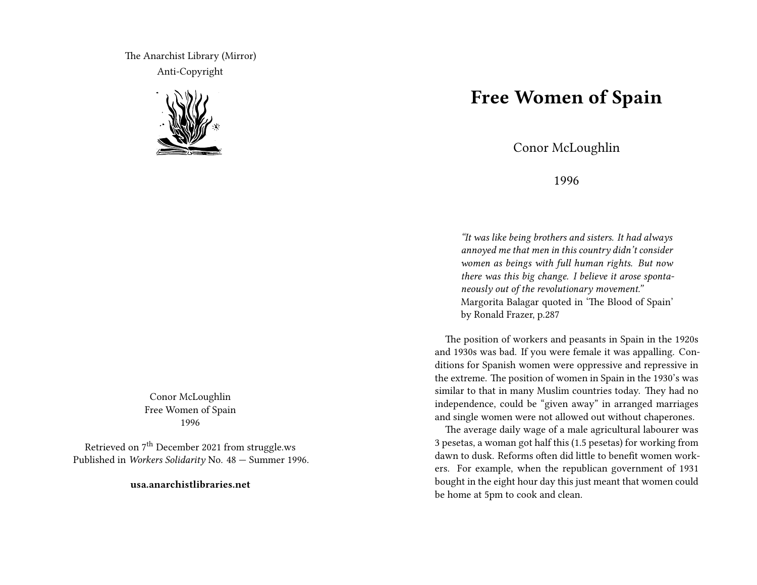The Anarchist Library (Mirror) Anti-Copyright



Conor McLoughlin Free Women of Spain 1996

Retrieved on  $7<sup>th</sup>$  December 2021 from struggle.ws Published in *Workers Solidarity* No. 48 — Summer 1996.

**usa.anarchistlibraries.net**

## **Free Women of Spain**

Conor McLoughlin

1996

*"It was like being brothers and sisters. It had always annoyed me that men in this country didn't consider women as beings with full human rights. But now there was this big change. I believe it arose spontaneously out of the revolutionary movement."* Margorita Balagar quoted in 'The Blood of Spain' by Ronald Frazer, p.287

The position of workers and peasants in Spain in the 1920s and 1930s was bad. If you were female it was appalling. Conditions for Spanish women were oppressive and repressive in the extreme. The position of women in Spain in the 1930's was similar to that in many Muslim countries today. They had no independence, could be "given away" in arranged marriages and single women were not allowed out without chaperones.

The average daily wage of a male agricultural labourer was 3 pesetas, a woman got half this (1.5 pesetas) for working from dawn to dusk. Reforms often did little to benefit women workers. For example, when the republican government of 1931 bought in the eight hour day this just meant that women could be home at 5pm to cook and clean.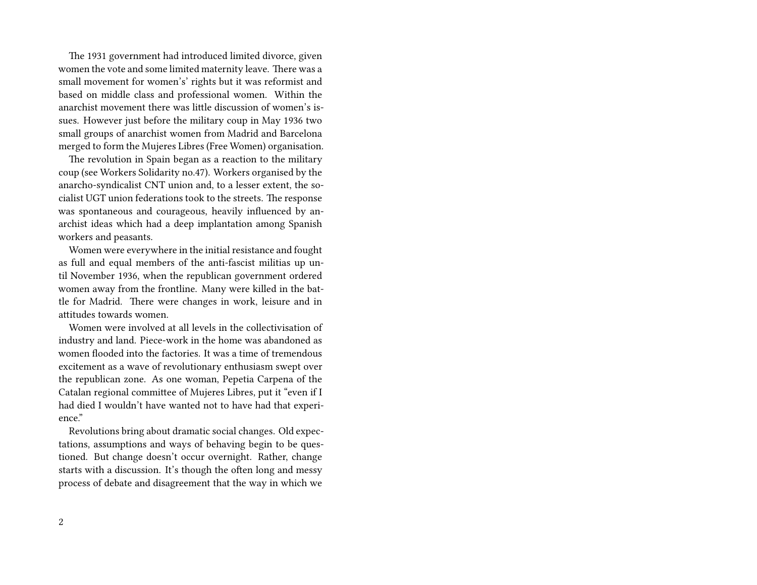The 1931 government had introduced limited divorce, given women the vote and some limited maternity leave. There was a small movement for women's' rights but it was reformist and based on middle class and professional women. Within the anarchist movement there was little discussion of women's issues. However just before the military coup in May 1936 two small groups of anarchist women from Madrid and Barcelona merged to form the Mujeres Libres (Free Women) organisation.

The revolution in Spain began as a reaction to the military coup (see Workers Solidarity no.47). Workers organised by the anarcho-syndicalist CNT union and, to a lesser extent, the socialist UGT union federations took to the streets. The response was spontaneous and courageous, heavily influenced by anarchist ideas which had a deep implantation among Spanish workers and peasants.

Women were everywhere in the initial resistance and fought as full and equal members of the anti-fascist militias up until November 1936, when the republican government ordered women away from the frontline. Many were killed in the battle for Madrid. There were changes in work, leisure and in attitudes towards women.

Women were involved at all levels in the collectivisation of industry and land. Piece-work in the home was abandoned as women flooded into the factories. It was a time of tremendous excitement as a wave of revolutionary enthusiasm swept over the republican zone. As one woman, Pepetia Carpena of the Catalan regional committee of Mujeres Libres, put it "even if I had died I wouldn't have wanted not to have had that experience."

Revolutions bring about dramatic social changes. Old expectations, assumptions and ways of behaving begin to be questioned. But change doesn't occur overnight. Rather, change starts with a discussion. It's though the often long and messy process of debate and disagreement that the way in which we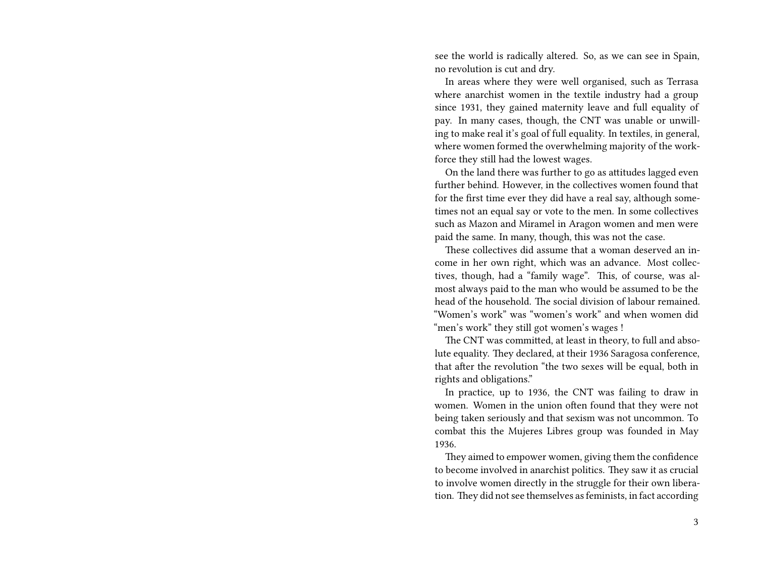see the world is radically altered. So, as we can see in Spain, no revolution is cut and dry.

In areas where they were well organised, such as Terrasa where anarchist women in the textile industry had a group since 1931, they gained maternity leave and full equality of pay. In many cases, though, the CNT was unable or unwilling to make real it's goal of full equality. In textiles, in general, where women formed the overwhelming majority of the workforce they still had the lowest wages.

On the land there was further to go as attitudes lagged even further behind. However, in the collectives women found that for the first time ever they did have a real say, although sometimes not an equal say or vote to the men. In some collectives such as Mazon and Miramel in Aragon women and men were paid the same. In many, though, this was not the case.

These collectives did assume that a woman deserved an income in her own right, which was an advance. Most collectives, though, had a "family wage". This, of course, was almost always paid to the man who would be assumed to be the head of the household. The social division of labour remained. "Women's work" was "women's work" and when women did "men's work" they still got women's wages !

The CNT was committed, at least in theory, to full and absolute equality. They declared, at their 1936 Saragosa conference, that after the revolution "the two sexes will be equal, both in rights and obligations."

In practice, up to 1936, the CNT was failing to draw in women. Women in the union often found that they were not being taken seriously and that sexism was not uncommon. To combat this the Mujeres Libres group was founded in May 1936.

They aimed to empower women, giving them the confidence to become involved in anarchist politics. They saw it as crucial to involve women directly in the struggle for their own liberation. They did not see themselves as feminists, in fact according